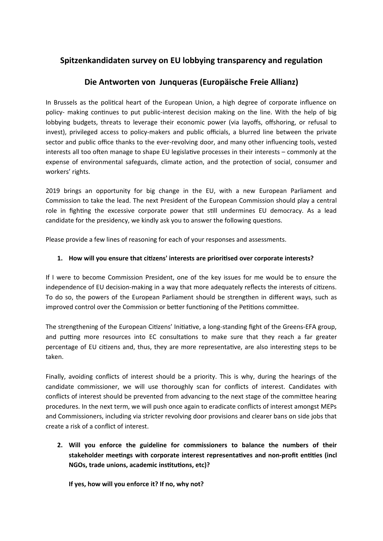# **Spitzenkandidaten survey on EU lobbying transparency and regulation**

## **Die Antworten von Junqueras (Europäische Freie Allianz)**

In Brussels as the political heart of the European Union, a high degree of corporate influence on policy- making continues to put public-interest decision making on the line. With the help of big lobbying budgets, threats to leverage their economic power (via layoffs, offshoring, or refusal to invest), privileged access to policy-makers and public officials, a blurred line between the private sector and public office thanks to the ever-revolving door, and many other influencing tools, vested interests all too often manage to shape EU legislative processes in their interests – commonly at the expense of environmental safeguards, climate action, and the protection of social, consumer and workers' rights.

2019 brings an opportunity for big change in the EU, with a new European Parliament and Commission to take the lead. The next President of the European Commission should play a central role in fighting the excessive corporate power that still undermines EU democracy. As a lead candidate for the presidency, we kindly ask you to answer the following questions.

Please provide a few lines of reasoning for each of your responses and assessments.

#### **1. How will you ensure that citizens' interests are prioritised over corporate interests?**

If I were to become Commission President, one of the key issues for me would be to ensure the independence of EU decision-making in a way that more adequately reflects the interests of citizens. To do so, the powers of the European Parliament should be strengthen in different ways, such as improved control over the Commission or better functioning of the Petitions committee.

The strengthening of the European Citizens' Initiative, a long-standing fight of the Greens-EFA group, and putting more resources into EC consultations to make sure that they reach a far greater percentage of EU citizens and, thus, they are more representative, are also interesting steps to be taken.

Finally, avoiding conflicts of interest should be a priority. This is why, during the hearings of the candidate commissioner, we will use thoroughly scan for conflicts of interest. Candidates with conflicts of interest should be prevented from advancing to the next stage of the committee hearing procedures. In the next term, we will push once again to eradicate conflicts of interest amongst MEPs and Commissioners, including via stricter revolving door provisions and clearer bans on side jobs that create a risk of a conflict of interest.

**2. Will you enforce the guideline for commissioners to balance the numbers of their stakeholder meetings with corporate interest representatives and non-profit entities (incl NGOs, trade unions, academic institutions, etc)?** 

**If yes, how will you enforce it? If no, why not?**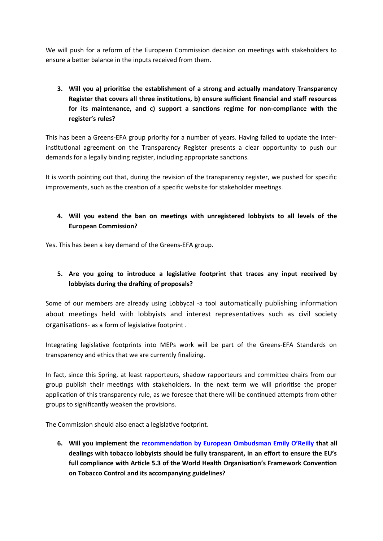We will push for a reform of the European Commission decision on meetings with stakeholders to ensure a better balance in the inputs received from them.

**3. Will you a) prioritise the establishment of a strong and actually mandatory Transparency Register that covers all three institutions, b) ensure sufficient financial and staff resources for its maintenance, and c) support a sanctions regime for non-compliance with the register's rules?** 

This has been a Greens-EFA group priority for a number of years. Having failed to update the interinstitutional agreement on the Transparency Register presents a clear opportunity to push our demands for a legally binding register, including appropriate sanctions.

It is worth pointing out that, during the revision of the transparency register, we pushed for specific improvements, such as the creation of a specific website for stakeholder meetings.

### **4. Will you extend the ban on meetings with unregistered lobbyists to all levels of the European Commission?**

Yes. This has been a key demand of the Greens-EFA group.

### **5. Are you going to introduce a legislative footprint that traces any input received by lobbyists during the drafting of proposals?**

Some of our members are already using Lobbycal -a tool automatically publishing information about meetings held with lobbyists and interest representatives such as civil society organisations- as a form of legislative footprint .

Integrating legislative footprints into MEPs work will be part of the Greens-EFA Standards on transparency and ethics that we are currently finalizing.

In fact, since this Spring, at least rapporteurs, shadow rapporteurs and committee chairs from our group publish their meetings with stakeholders. In the next term we will prioritise the proper application of this transparency rule, as we foresee that there will be continued attempts from other groups to significantly weaken the provisions.

The Commission should also enact a legislative footprint.

**6. Will you implement the recommendation by European Ombudsman Emily O'Reilly that all dealings with tobacco lobbyists should be fully transparent, in an effort to ensure the EU's full compliance with Article 5.3 of the World Health Organisation's Framework Convention on Tobacco Control and its accompanying guidelines?**